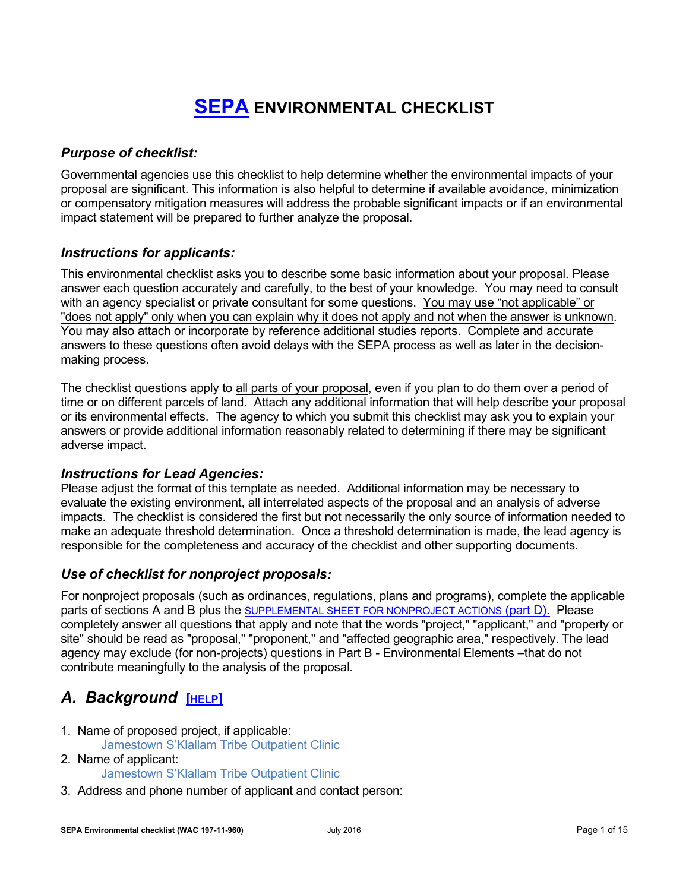# **SEPA ENVIRONMENTAL CHECKLIST**

### *Purpose of checklist:*

Governmental agencies use this checklist to help determine whether the environmental impacts of your proposal are significant. This information is also helpful to determine if available avoidance, minimization or compensatory mitigation measures will address the probable significant impacts or if an environmental impact statement will be prepared to further analyze the proposal.

### *Instructions for applicants:*

This environmental checklist asks you to describe some basic information about your proposal. Please answer each question accurately and carefully, to the best of your knowledge. You may need to consult with an agency specialist or private consultant for some questions. You may use "not applicable" or "does not apply" only when you can explain why it does not apply and not when the answer is unknown. You may also attach or incorporate by reference additional studies reports. Complete and accurate answers to these questions often avoid delays with the SEPA process as well as later in the decisionmaking process.

The checklist questions apply to all parts of your proposal, even if you plan to do them over a period of time or on different parcels of land. Attach any additional information that will help describe your proposal or its environmental effects. The agency to which you submit this checklist may ask you to explain your answers or provide additional information reasonably related to determining if there may be significant adverse impact.

### *Instructions for Lead Agencies:*

Please adjust the format of this template as needed. Additional information may be necessary to evaluate the existing environment, all interrelated aspects of the proposal and an analysis of adverse impacts. The checklist is considered the first but not necessarily the only source of information needed to make an adequate threshold determination. Once a threshold determination is made, the lead agency is responsible for the completeness and accuracy of the checklist and other supporting documents.

### *Use of checklist for nonproject proposals:*

For nonproject proposals (such as ordinances, regulations, plans and programs), complete the applicable parts of sections A and B plus the SUPPLEMENTAL SHEET FOR NONPROJECT ACTIONS (part D). Please completely answer all questions that apply and note that the words "project," "applicant," and "property or site" should be read as "proposal," "proponent," and "affected geographic area," respectively. The lead agency may exclude (for non-projects) questions in Part B - Environmental Elements –that do not contribute meaningfully to the analysis of the proposal.

# *A. Background* **[HELP]**

- 1. Name of proposed project, if applicable:
	- Jamestown S'Klallam Tribe Outpatient Clinic
- 2. Name of applicant: Jamestown S'Klallam Tribe Outpatient Clinic
- 3. Address and phone number of applicant and contact person: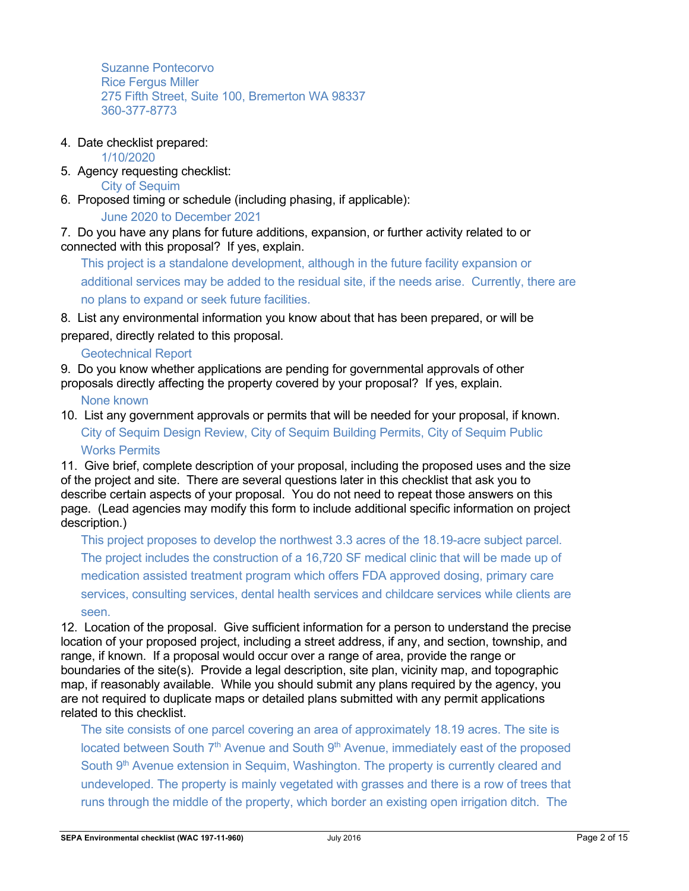Suzanne Pontecorvo Rice Fergus Miller 275 Fifth Street, Suite 100, Bremerton WA 98337 360-377-8773

4. Date checklist prepared:

1/10/2020

5. Agency requesting checklist:

City of Sequim

6. Proposed timing or schedule (including phasing, if applicable):

June 2020 to December 2021

7. Do you have any plans for future additions, expansion, or further activity related to or connected with this proposal? If yes, explain.

This project is a standalone development, although in the future facility expansion or additional services may be added to the residual site, if the needs arise. Currently, there are no plans to expand or seek future facilities.

8. List any environmental information you know about that has been prepared, or will be prepared, directly related to this proposal.

Geotechnical Report

9. Do you know whether applications are pending for governmental approvals of other proposals directly affecting the property covered by your proposal? If yes, explain.

None known

10. List any government approvals or permits that will be needed for your proposal, if known. City of Sequim Design Review, City of Sequim Building Permits, City of Sequim Public Works Permits

11. Give brief, complete description of your proposal, including the proposed uses and the size of the project and site. There are several questions later in this checklist that ask you to describe certain aspects of your proposal. You do not need to repeat those answers on this page. (Lead agencies may modify this form to include additional specific information on project description.)

This project proposes to develop the northwest 3.3 acres of the 18.19-acre subject parcel. The project includes the construction of a 16,720 SF medical clinic that will be made up of medication assisted treatment program which offers FDA approved dosing, primary care services, consulting services, dental health services and childcare services while clients are seen.

12. Location of the proposal. Give sufficient information for a person to understand the precise location of your proposed project, including a street address, if any, and section, township, and range, if known. If a proposal would occur over a range of area, provide the range or boundaries of the site(s). Provide a legal description, site plan, vicinity map, and topographic map, if reasonably available. While you should submit any plans required by the agency, you are not required to duplicate maps or detailed plans submitted with any permit applications related to this checklist.

The site consists of one parcel covering an area of approximately 18.19 acres. The site is located between South  $7<sup>th</sup>$  Avenue and South  $9<sup>th</sup>$  Avenue, immediately east of the proposed South 9<sup>th</sup> Avenue extension in Sequim, Washington. The property is currently cleared and undeveloped. The property is mainly vegetated with grasses and there is a row of trees that runs through the middle of the property, which border an existing open irrigation ditch. The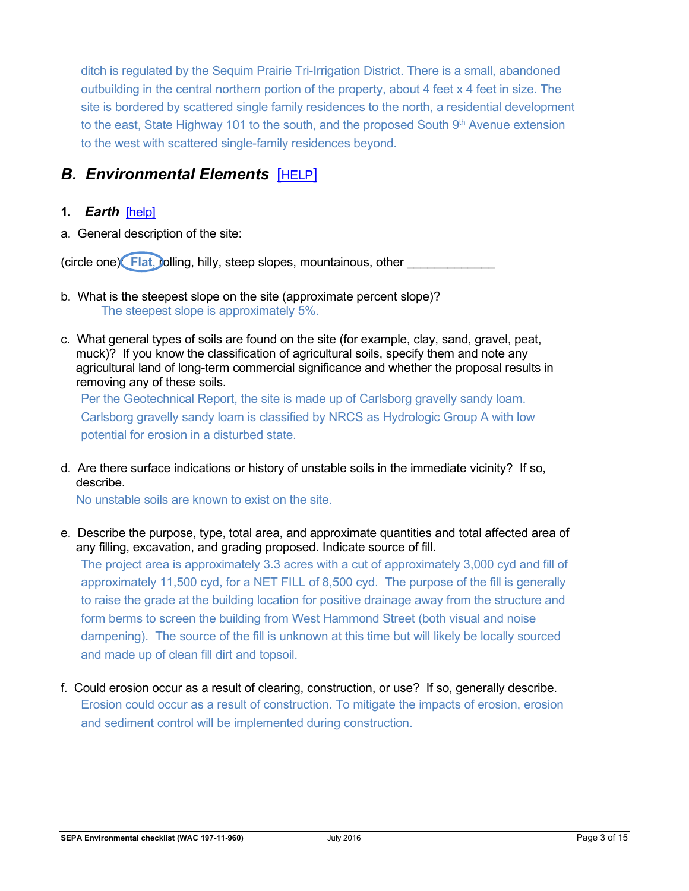ditch is regulated by the Sequim Prairie Tri-Irrigation District. There is a small, abandoned outbuilding in the central northern portion of the property, about 4 feet x 4 feet in size. The site is bordered by scattered single family residences to the north, a residential development to the east, State Highway 101 to the south, and the proposed South  $9<sup>th</sup>$  Avenue extension to the west with scattered single-family residences beyond.

## **B. Environmental Elements [HELP]**

#### **1.** *Earth*[help]

a. General description of the site:

(circle one) **Flat, jolling, hilly, steep slopes, mountainous, other** 

- b. What is the steepest slope on the site (approximate percent slope)? The steepest slope is approximately 5%.
- c. What general types of soils are found on the site (for example, clay, sand, gravel, peat, muck)? If you know the classification of agricultural soils, specify them and note any agricultural land of long-term commercial significance and whether the proposal results in removing any of these soils.

Per the Geotechnical Report, the site is made up of Carlsborg gravelly sandy loam. Carlsborg gravelly sandy loam is classified by NRCS as Hydrologic Group A with low potential for erosion in a disturbed state.

d. Are there surface indications or history of unstable soils in the immediate vicinity? If so, describe.

No unstable soils are known to exist on the site.

e. Describe the purpose, type, total area, and approximate quantities and total affected area of any filling, excavation, and grading proposed. Indicate source of fill.

The project area is approximately 3.3 acres with a cut of approximately 3,000 cyd and fill of approximately 11,500 cyd, for a NET FILL of 8,500 cyd. The purpose of the fill is generally to raise the grade at the building location for positive drainage away from the structure and form berms to screen the building from West Hammond Street (both visual and noise dampening). The source of the fill is unknown at this time but will likely be locally sourced and made up of clean fill dirt and topsoil.

f. Could erosion occur as a result of clearing, construction, or use? If so, generally describe. Erosion could occur as a result of construction. To mitigate the impacts of erosion, erosion and sediment control will be implemented during construction.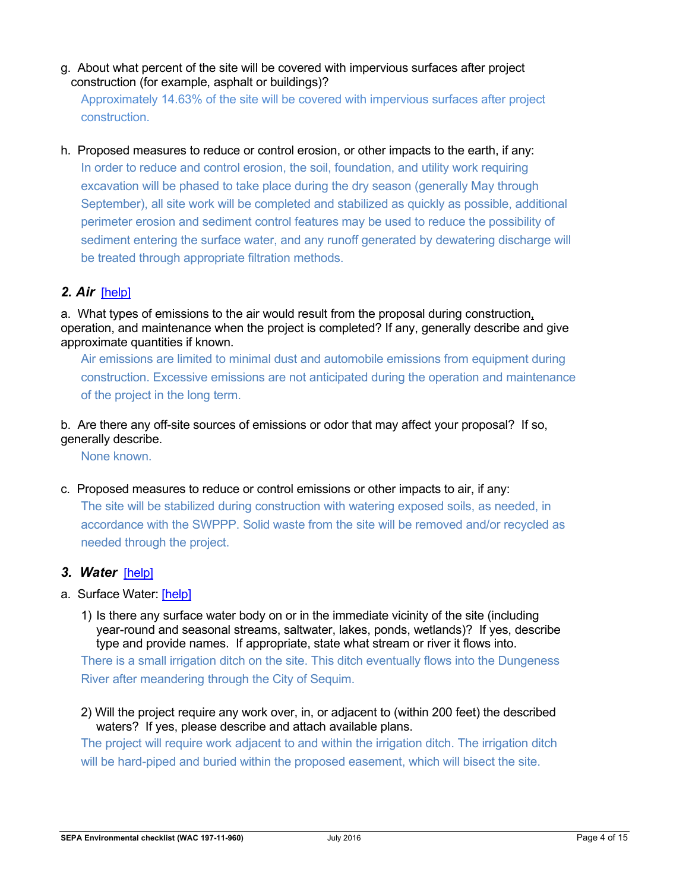g. About what percent of the site will be covered with impervious surfaces after project construction (for example, asphalt or buildings)?

Approximately 14.63% of the site will be covered with impervious surfaces after project construction.

h. Proposed measures to reduce or control erosion, or other impacts to the earth, if any: In order to reduce and control erosion, the soil, foundation, and utility work requiring excavation will be phased to take place during the dry season (generally May through September), all site work will be completed and stabilized as quickly as possible, additional perimeter erosion and sediment control features may be used to reduce the possibility of sediment entering the surface water, and any runoff generated by dewatering discharge will be treated through appropriate filtration methods.

### *2. Air*[help]

a. What types of emissions to the air would result from the proposal during construction, operation, and maintenance when the project is completed? If any, generally describe and give approximate quantities if known.

Air emissions are limited to minimal dust and automobile emissions from equipment during construction. Excessive emissions are not anticipated during the operation and maintenance of the project in the long term.

b. Are there any off-site sources of emissions or odor that may affect your proposal? If so, generally describe.

None known.

- c. Proposed measures to reduce or control emissions or other impacts to air, if any: The site will be stabilized during construction with watering exposed soils, as needed, in accordance with the SWPPP. Solid waste from the site will be removed and/or recycled as needed through the project.
- *3. Water*[help]
- a. Surface Water: [help]
	- 1) Is there any surface water body on or in the immediate vicinity of the site (including year-round and seasonal streams, saltwater, lakes, ponds, wetlands)? If yes, describe type and provide names. If appropriate, state what stream or river it flows into. There is a small irrigation ditch on the site. This ditch eventually flows into the Dungeness River after meandering through the City of Sequim.
	- 2) Will the project require any work over, in, or adjacent to (within 200 feet) the described waters? If yes, please describe and attach available plans.

The project will require work adjacent to and within the irrigation ditch. The irrigation ditch will be hard-piped and buried within the proposed easement, which will bisect the site.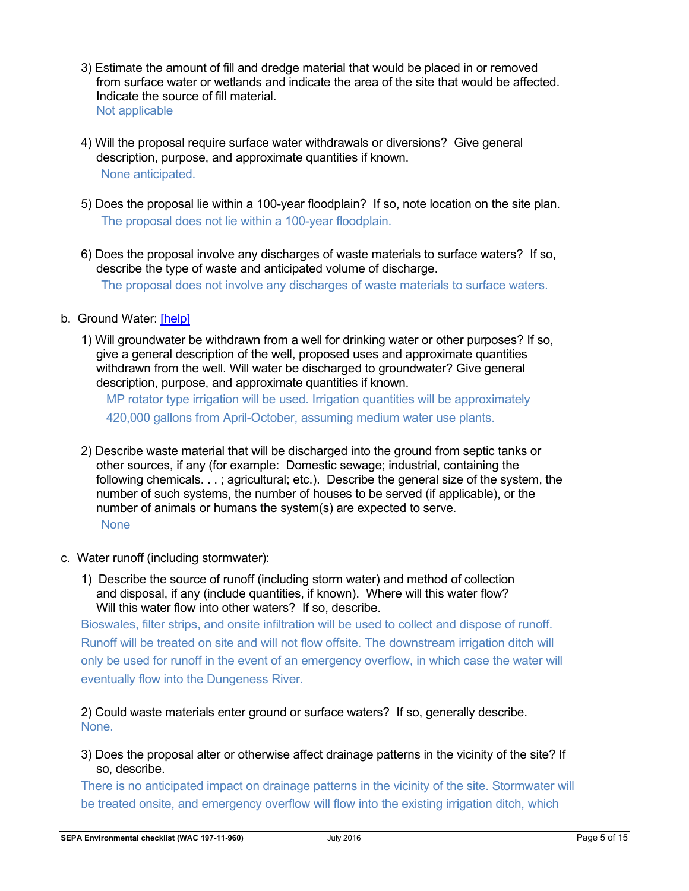- 3) Estimate the amount of fill and dredge material that would be placed in or removed from surface water or wetlands and indicate the area of the site that would be affected. Indicate the source of fill material. Not applicable
- 4) Will the proposal require surface water withdrawals or diversions? Give general description, purpose, and approximate quantities if known. None anticipated.
- 5) Does the proposal lie within a 100-year floodplain? If so, note location on the site plan. The proposal does not lie within a 100-year floodplain.
- 6) Does the proposal involve any discharges of waste materials to surface waters? If so, describe the type of waste and anticipated volume of discharge. The proposal does not involve any discharges of waste materials to surface waters.
- b. Ground Water: [help]
	- 1) Will groundwater be withdrawn from a well for drinking water or other purposes? If so, give a general description of the well, proposed uses and approximate quantities withdrawn from the well. Will water be discharged to groundwater? Give general description, purpose, and approximate quantities if known.

MP rotator type irrigation will be used. Irrigation quantities will be approximately 420,000 gallons from April-October, assuming medium water use plants.

- 2) Describe waste material that will be discharged into the ground from septic tanks or other sources, if any (for example: Domestic sewage; industrial, containing the following chemicals. . . ; agricultural; etc.). Describe the general size of the system, the number of such systems, the number of houses to be served (if applicable), or the number of animals or humans the system(s) are expected to serve. **None**
- c. Water runoff (including stormwater):
	- 1) Describe the source of runoff (including storm water) and method of collection and disposal, if any (include quantities, if known). Where will this water flow? Will this water flow into other waters? If so, describe.

Bioswales, filter strips, and onsite infiltration will be used to collect and dispose of runoff. Runoff will be treated on site and will not flow offsite. The downstream irrigation ditch will only be used for runoff in the event of an emergency overflow, in which case the water will eventually flow into the Dungeness River.

2) Could waste materials enter ground or surface waters? If so, generally describe. None.

3) Does the proposal alter or otherwise affect drainage patterns in the vicinity of the site? If so, describe.

There is no anticipated impact on drainage patterns in the vicinity of the site. Stormwater will be treated onsite, and emergency overflow will flow into the existing irrigation ditch, which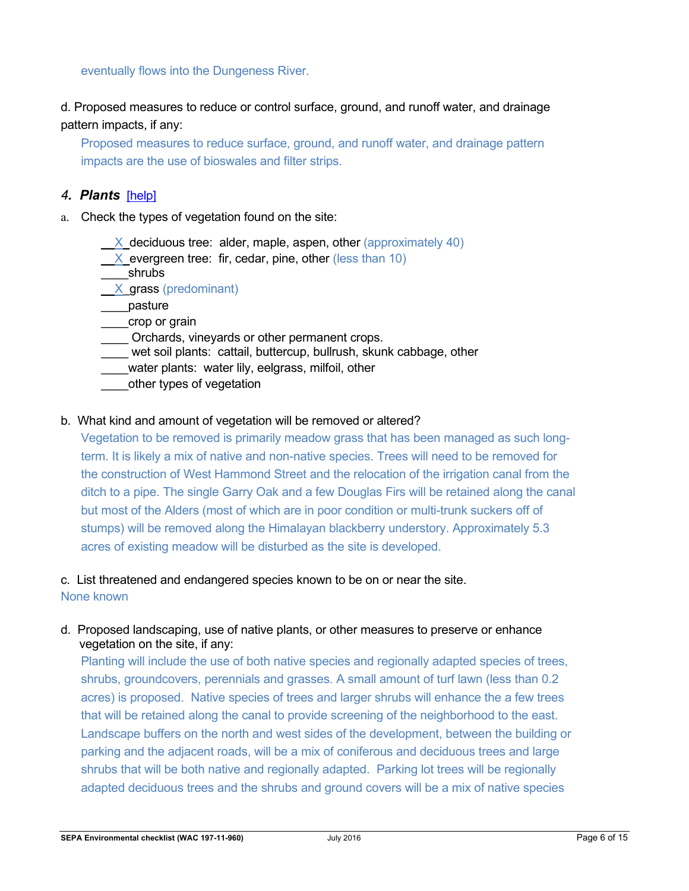eventually flows into the Dungeness River.

d. Proposed measures to reduce or control surface, ground, and runoff water, and drainage pattern impacts, if any:

Proposed measures to reduce surface, ground, and runoff water, and drainage pattern impacts are the use of bioswales and filter strips.

#### *4. Plants*[help]

- a. Check the types of vegetation found on the site:
	- $X$  deciduous tree: alder, maple, aspen, other (approximately 40)
	- $X$  evergreen tree: fir, cedar, pine, other (less than 10)
	- \_\_\_\_shrubs
	- \_\_X\_grass (predominant)
	- \_\_\_\_pasture
	- \_\_\_\_crop or grain
	- Orchards, vineyards or other permanent crops.
	- wet soil plants: cattail, buttercup, bullrush, skunk cabbage, other
	- water plants: water lily, eelgrass, milfoil, other
	- other types of vegetation

#### b. What kind and amount of vegetation will be removed or altered?

Vegetation to be removed is primarily meadow grass that has been managed as such longterm. It is likely a mix of native and non-native species. Trees will need to be removed for the construction of West Hammond Street and the relocation of the irrigation canal from the ditch to a pipe. The single Garry Oak and a few Douglas Firs will be retained along the canal but most of the Alders (most of which are in poor condition or multi-trunk suckers off of stumps) will be removed along the Himalayan blackberry understory. Approximately 5.3 acres of existing meadow will be disturbed as the site is developed.

#### c. List threatened and endangered species known to be on or near the site.

None known

d. Proposed landscaping, use of native plants, or other measures to preserve or enhance vegetation on the site, if any:

Planting will include the use of both native species and regionally adapted species of trees, shrubs, groundcovers, perennials and grasses. A small amount of turf lawn (less than 0.2 acres) is proposed. Native species of trees and larger shrubs will enhance the a few trees that will be retained along the canal to provide screening of the neighborhood to the east. Landscape buffers on the north and west sides of the development, between the building or parking and the adjacent roads, will be a mix of coniferous and deciduous trees and large shrubs that will be both native and regionally adapted. Parking lot trees will be regionally adapted deciduous trees and the shrubs and ground covers will be a mix of native species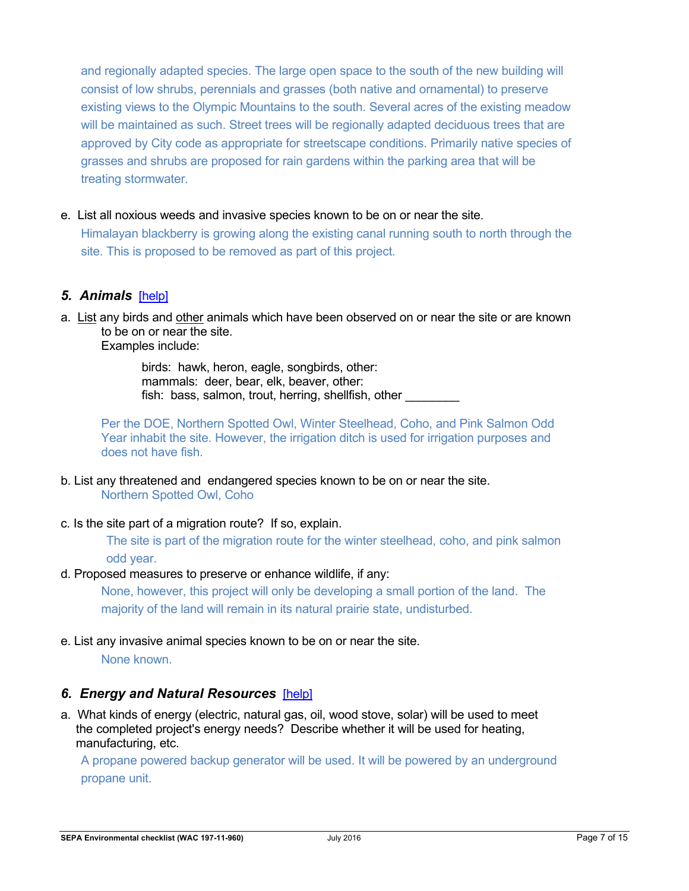and regionally adapted species. The large open space to the south of the new building will consist of low shrubs, perennials and grasses (both native and ornamental) to preserve existing views to the Olympic Mountains to the south. Several acres of the existing meadow will be maintained as such. Street trees will be regionally adapted deciduous trees that are approved by City code as appropriate for streetscape conditions. Primarily native species of grasses and shrubs are proposed for rain gardens within the parking area that will be treating stormwater.

e. List all noxious weeds and invasive species known to be on or near the site.

Himalayan blackberry is growing along the existing canal running south to north through the site. This is proposed to be removed as part of this project.

### *5. Animals*[help]

a. List any birds and other animals which have been observed on or near the site or are known to be on or near the site.

Examples include:

 birds: hawk, heron, eagle, songbirds, other: mammals: deer, bear, elk, beaver, other: fish: bass, salmon, trout, herring, shellfish, other

Per the DOE, Northern Spotted Owl, Winter Steelhead, Coho, and Pink Salmon Odd Year inhabit the site. However, the irrigation ditch is used for irrigation purposes and does not have fish.

- b. List any threatened and endangered species known to be on or near the site. Northern Spotted Owl, Coho
- c. Is the site part of a migration route? If so, explain.

The site is part of the migration route for the winter steelhead, coho, and pink salmon odd year.

#### d. Proposed measures to preserve or enhance wildlife, if any:

None, however, this project will only be developing a small portion of the land. The majority of the land will remain in its natural prairie state, undisturbed.

e. List any invasive animal species known to be on or near the site. None known.

### *6. Energy and Natural Resources*[help]

a. What kinds of energy (electric, natural gas, oil, wood stove, solar) will be used to meet the completed project's energy needs? Describe whether it will be used for heating, manufacturing, etc.

A propane powered backup generator will be used. It will be powered by an underground propane unit.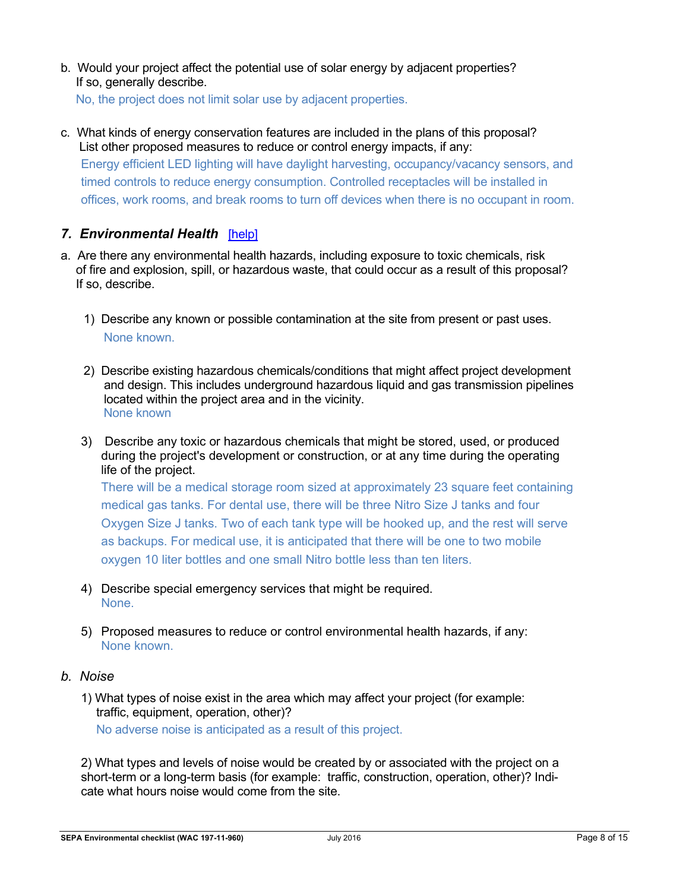b. Would your project affect the potential use of solar energy by adjacent properties? If so, generally describe.

No, the project does not limit solar use by adjacent properties.

c. What kinds of energy conservation features are included in the plans of this proposal? List other proposed measures to reduce or control energy impacts, if any: Energy efficient LED lighting will have daylight harvesting, occupancy/vacancy sensors, and timed controls to reduce energy consumption. Controlled receptacles will be installed in offices, work rooms, and break rooms to turn off devices when there is no occupant in room.

### *7. Environmental Health*[help]

- a. Are there any environmental health hazards, including exposure to toxic chemicals, risk of fire and explosion, spill, or hazardous waste, that could occur as a result of this proposal? If so, describe.
	- 1) Describe any known or possible contamination at the site from present or past uses. None known.
	- 2) Describe existing hazardous chemicals/conditions that might affect project development and design. This includes underground hazardous liquid and gas transmission pipelines located within the project area and in the vicinity. None known
	- 3) Describe any toxic or hazardous chemicals that might be stored, used, or produced during the project's development or construction, or at any time during the operating life of the project.

There will be a medical storage room sized at approximately 23 square feet containing medical gas tanks. For dental use, there will be three Nitro Size J tanks and four Oxygen Size J tanks. Two of each tank type will be hooked up, and the rest will serve as backups. For medical use, it is anticipated that there will be one to two mobile oxygen 10 liter bottles and one small Nitro bottle less than ten liters.

- 4) Describe special emergency services that might be required. None.
- 5) Proposed measures to reduce or control environmental health hazards, if any: None known.

#### *b. Noise*

1) What types of noise exist in the area which may affect your project (for example: traffic, equipment, operation, other)?

No adverse noise is anticipated as a result of this project.

2) What types and levels of noise would be created by or associated with the project on a short-term or a long-term basis (for example: traffic, construction, operation, other)? Indicate what hours noise would come from the site.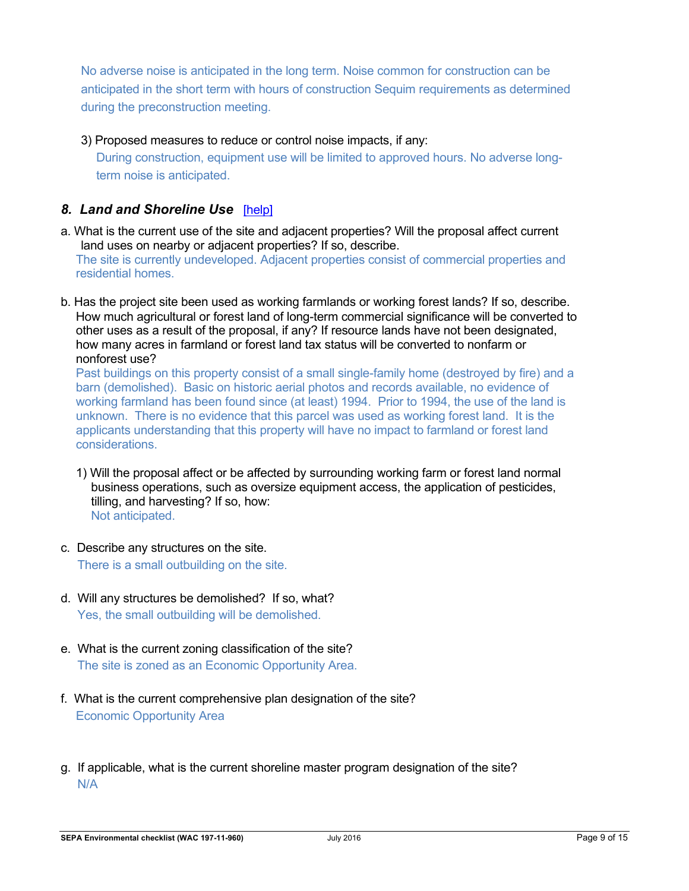No adverse noise is anticipated in the long term. Noise common for construction can be anticipated in the short term with hours of construction Sequim requirements as determined during the preconstruction meeting.

3) Proposed measures to reduce or control noise impacts, if any:

During construction, equipment use will be limited to approved hours. No adverse longterm noise is anticipated.

### *8. Land and Shoreline Use*[help]

- a. What is the current use of the site and adjacent properties? Will the proposal affect current land uses on nearby or adjacent properties? If so, describe. The site is currently undeveloped. Adjacent properties consist of commercial properties and residential homes.
- b. Has the project site been used as working farmlands or working forest lands? If so, describe. How much agricultural or forest land of long-term commercial significance will be converted to other uses as a result of the proposal, if any? If resource lands have not been designated, how many acres in farmland or forest land tax status will be converted to nonfarm or nonforest use?

 Past buildings on this property consist of a small single-family home (destroyed by fire) and a barn (demolished). Basic on historic aerial photos and records available, no evidence of working farmland has been found since (at least) 1994. Prior to 1994, the use of the land is unknown. There is no evidence that this parcel was used as working forest land. It is the applicants understanding that this property will have no impact to farmland or forest land considerations.

- 1) Will the proposal affect or be affected by surrounding working farm or forest land normal business operations, such as oversize equipment access, the application of pesticides, tilling, and harvesting? If so, how: Not anticipated.
- c. Describe any structures on the site. There is a small outbuilding on the site.
- d. Will any structures be demolished? If so, what? Yes, the small outbuilding will be demolished.
- e. What is the current zoning classification of the site? The site is zoned as an Economic Opportunity Area.
- f. What is the current comprehensive plan designation of the site? Economic Opportunity Area
- g. If applicable, what is the current shoreline master program designation of the site? N/A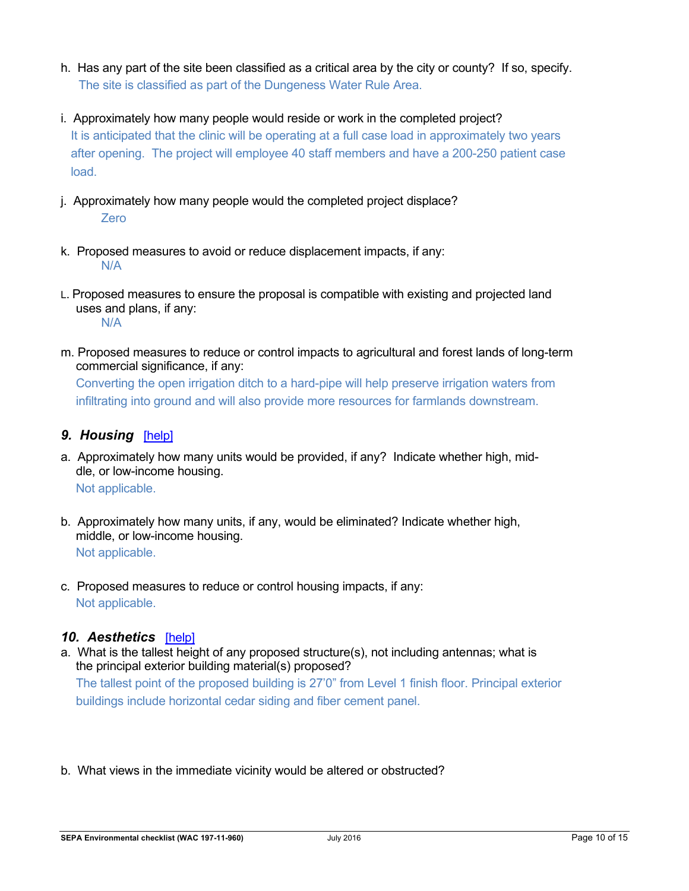- h. Has any part of the site been classified as a critical area by the city or county? If so, specify. The site is classified as part of the Dungeness Water Rule Area.
- i. Approximately how many people would reside or work in the completed project? It is anticipated that the clinic will be operating at a full case load in approximately two years after opening. The project will employee 40 staff members and have a 200-250 patient case load.
- j. Approximately how many people would the completed project displace? Zero
- k. Proposed measures to avoid or reduce displacement impacts, if any: N/A
- L. Proposed measures to ensure the proposal is compatible with existing and projected land uses and plans, if any: N/A
- m. Proposed measures to reduce or control impacts to agricultural and forest lands of long-term commercial significance, if any: Converting the open irrigation ditch to a hard-pipe will help preserve irrigation waters from infiltrating into ground and will also provide more resources for farmlands downstream.

### *9. Housing*[help]

- a. Approximately how many units would be provided, if any? Indicate whether high, middle, or low-income housing. Not applicable.
- b. Approximately how many units, if any, would be eliminated? Indicate whether high, middle, or low-income housing. Not applicable.
- c. Proposed measures to reduce or control housing impacts, if any: Not applicable.

### *10. Aesthetics*[help]

- a. What is the tallest height of any proposed structure(s), not including antennas; what is the principal exterior building material(s) proposed? The tallest point of the proposed building is 27'0" from Level 1 finish floor. Principal exterior buildings include horizontal cedar siding and fiber cement panel.
- b. What views in the immediate vicinity would be altered or obstructed?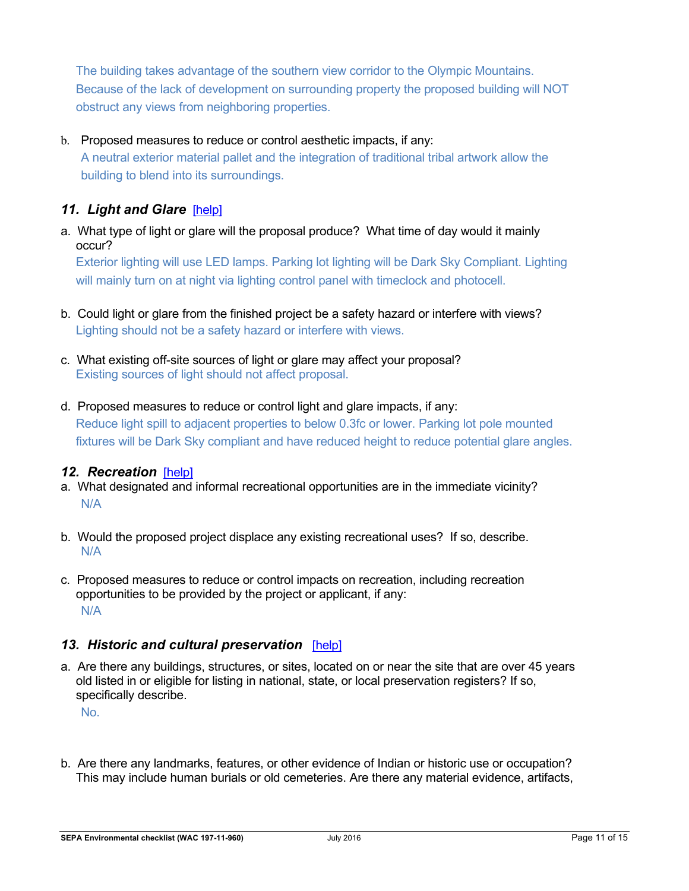The building takes advantage of the southern view corridor to the Olympic Mountains. Because of the lack of development on surrounding property the proposed building will NOT obstruct any views from neighboring properties.

### b. Proposed measures to reduce or control aesthetic impacts, if any:

A neutral exterior material pallet and the integration of traditional tribal artwork allow the building to blend into its surroundings.

### 11. Light and Glare **[help]**

a. What type of light or glare will the proposal produce? What time of day would it mainly occur?

Exterior lighting will use LED lamps. Parking lot lighting will be Dark Sky Compliant. Lighting will mainly turn on at night via lighting control panel with timeclock and photocell.

- b. Could light or glare from the finished project be a safety hazard or interfere with views? Lighting should not be a safety hazard or interfere with views.
- c. What existing off-site sources of light or glare may affect your proposal? Existing sources of light should not affect proposal.
- d. Proposed measures to reduce or control light and glare impacts, if any: Reduce light spill to adjacent properties to below 0.3fc or lower. Parking lot pole mounted fixtures will be Dark Sky compliant and have reduced height to reduce potential glare angles.

### *12. Recreation*[help]

- a. What designated and informal recreational opportunities are in the immediate vicinity? N/A
- b. Would the proposed project displace any existing recreational uses? If so, describe. N/A
- c. Proposed measures to reduce or control impacts on recreation, including recreation opportunities to be provided by the project or applicant, if any: N/A

### *13. Historic and cultural preservation*[help]

a. Are there any buildings, structures, or sites, located on or near the site that are over 45 years old listed in or eligible for listing in national, state, or local preservation registers? If so, specifically describe.

No.

b. Are there any landmarks, features, or other evidence of Indian or historic use or occupation? This may include human burials or old cemeteries. Are there any material evidence, artifacts,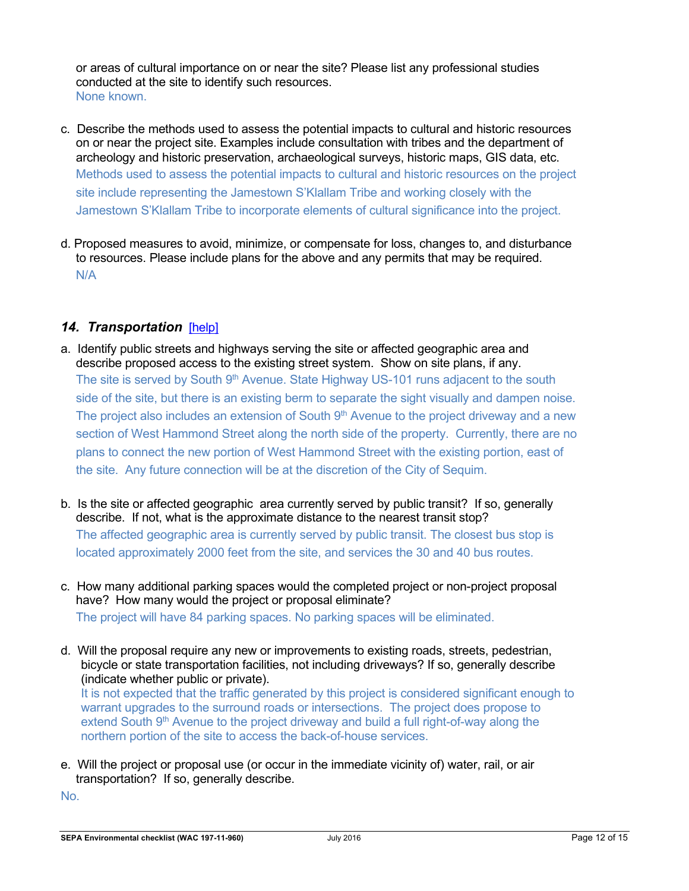or areas of cultural importance on or near the site? Please list any professional studies conducted at the site to identify such resources. None known.

- c. Describe the methods used to assess the potential impacts to cultural and historic resources on or near the project site. Examples include consultation with tribes and the department of archeology and historic preservation, archaeological surveys, historic maps, GIS data, etc. Methods used to assess the potential impacts to cultural and historic resources on the project site include representing the Jamestown S'Klallam Tribe and working closely with the Jamestown S'Klallam Tribe to incorporate elements of cultural significance into the project.
- d. Proposed measures to avoid, minimize, or compensate for loss, changes to, and disturbance to resources. Please include plans for the above and any permits that may be required. N/A

### *14. Transportation*[help]

- a. Identify public streets and highways serving the site or affected geographic area and describe proposed access to the existing street system. Show on site plans, if any. The site is served by South 9<sup>th</sup> Avenue. State Highway US-101 runs adjacent to the south side of the site, but there is an existing berm to separate the sight visually and dampen noise. The project also includes an extension of South  $9<sup>th</sup>$  Avenue to the project driveway and a new section of West Hammond Street along the north side of the property. Currently, there are no plans to connect the new portion of West Hammond Street with the existing portion, east of the site. Any future connection will be at the discretion of the City of Sequim.
- b. Is the site or affected geographic area currently served by public transit? If so, generally describe. If not, what is the approximate distance to the nearest transit stop? The affected geographic area is currently served by public transit. The closest bus stop is located approximately 2000 feet from the site, and services the 30 and 40 bus routes.
- c. How many additional parking spaces would the completed project or non-project proposal have? How many would the project or proposal eliminate? The project will have 84 parking spaces. No parking spaces will be eliminated.
- d. Will the proposal require any new or improvements to existing roads, streets, pedestrian, bicycle or state transportation facilities, not including driveways? If so, generally describe (indicate whether public or private). It is not expected that the traffic generated by this project is considered significant enough to warrant upgrades to the surround roads or intersections. The project does propose to extend South 9<sup>th</sup> Avenue to the project driveway and build a full right-of-way along the northern portion of the site to access the back-of-house services.
- e. Will the project or proposal use (or occur in the immediate vicinity of) water, rail, or air transportation? If so, generally describe.

No.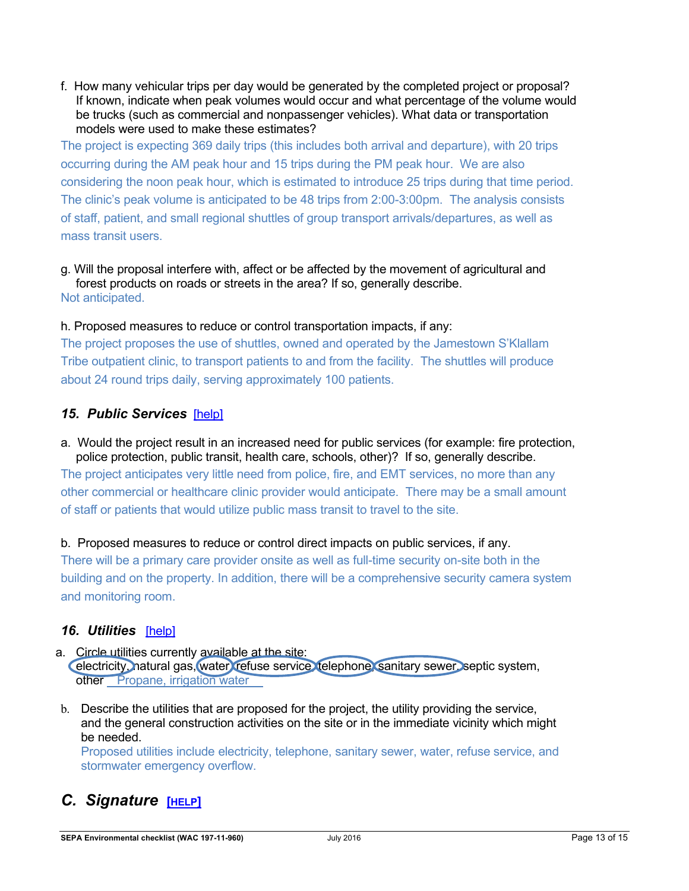f. How many vehicular trips per day would be generated by the completed project or proposal? If known, indicate when peak volumes would occur and what percentage of the volume would be trucks (such as commercial and nonpassenger vehicles). What data or transportation models were used to make these estimates?

The project is expecting 369 daily trips (this includes both arrival and departure), with 20 trips occurring during the AM peak hour and 15 trips during the PM peak hour. We are also considering the noon peak hour, which is estimated to introduce 25 trips during that time period. The clinic's peak volume is anticipated to be 48 trips from 2:00-3:00pm. The analysis consists of staff, patient, and small regional shuttles of group transport arrivals/departures, as well as mass transit users.

g. Will the proposal interfere with, affect or be affected by the movement of agricultural and forest products on roads or streets in the area? If so, generally describe. Not anticipated.

h. Proposed measures to reduce or control transportation impacts, if any:

The project proposes the use of shuttles, owned and operated by the Jamestown S'Klallam Tribe outpatient clinic, to transport patients to and from the facility. The shuttles will produce about 24 round trips daily, serving approximately 100 patients.

### *15. Public Services*[help]

a. Would the project result in an increased need for public services (for example: fire protection, police protection, public transit, health care, schools, other)? If so, generally describe.

The project anticipates very little need from police, fire, and EMT services, no more than any other commercial or healthcare clinic provider would anticipate. There may be a small amount of staff or patients that would utilize public mass transit to travel to the site.

b. Proposed measures to reduce or control direct impacts on public services, if any.

There will be a primary care provider onsite as well as full-time security on-site both in the building and on the property. In addition, there will be a comprehensive security camera system and monitoring room.

### *16. Utilities*[help]

- a. Circle utilities currently available at the site: electricity, natural gas, water, refuse service, telephone, sanitary sewer, septic system, other Propane, irrigation water
- b. Describe the utilities that are proposed for the project, the utility providing the service, and the general construction activities on the site or in the immediate vicinity which might be needed.

Proposed utilities include electricity, telephone, sanitary sewer, water, refuse service, and stormwater emergency overflow.

# *C. Signature* **[HELP]**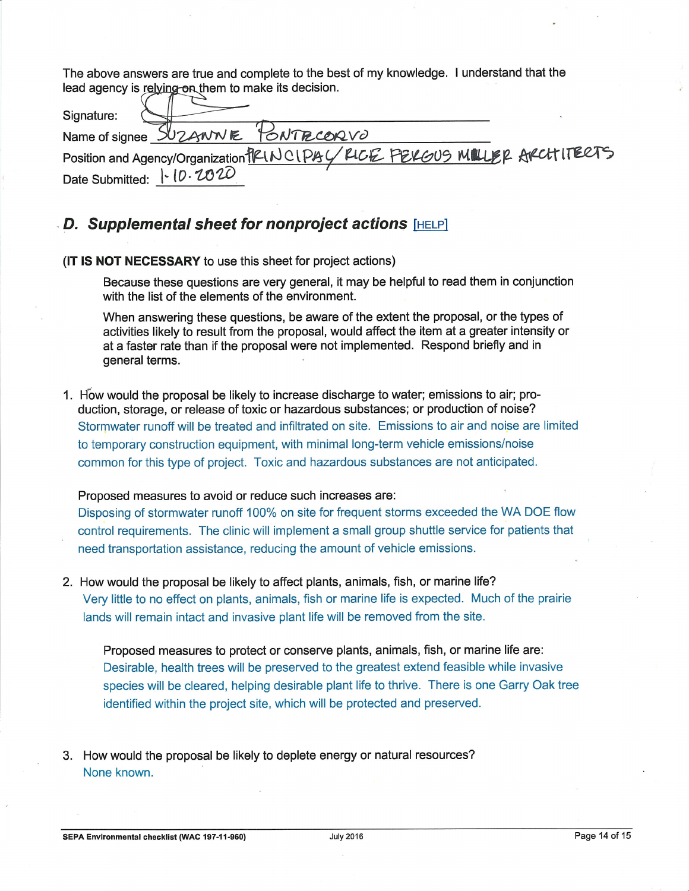The above answers are true and complete to the best of my knowledge. I understand that the lead agency is relying on them to make its decision.

| Signature:                                                               |  |
|--------------------------------------------------------------------------|--|
| Name of signee SUZANNE PONTRCORVO                                        |  |
| Position and Agency/Organization PRINCIPAL/PLCE FELGUS MULLER ARCHITERTS |  |
| Date Submitted:   0. 2020                                                |  |

### D. Supplemental sheet for nonproject actions [HELP]

(IT IS NOT NECESSARY to use this sheet for project actions)

Because these questions are very general, it may be helpful to read them in conjunction with the list of the elements of the environment.

When answering these questions, be aware of the extent the proposal, or the types of activities likely to result from the proposal, would affect the item at a greater intensity or at a faster rate than if the proposal were not implemented. Respond briefly and in general terms.

1. How would the proposal be likely to increase discharge to water; emissions to air; production, storage, or release of toxic or hazardous substances; or production of noise? Stormwater runoff will be treated and infiltrated on site. Emissions to air and noise are limited to temporary construction equipment, with minimal long-term vehicle emissions/noise common for this type of project. Toxic and hazardous substances are not anticipated.

#### Proposed measures to avoid or reduce such increases are:

Disposing of stormwater runoff 100% on site for frequent storms exceeded the WA DOE flow control requirements. The clinic will implement a small group shuttle service for patients that need transportation assistance, reducing the amount of vehicle emissions.

2. How would the proposal be likely to affect plants, animals, fish, or marine life? Very little to no effect on plants, animals, fish or marine life is expected. Much of the prairie lands will remain intact and invasive plant life will be removed from the site.

Proposed measures to protect or conserve plants, animals, fish, or marine life are: Desirable, health trees will be preserved to the greatest extend feasible while invasive species will be cleared, helping desirable plant life to thrive. There is one Garry Oak tree identified within the project site, which will be protected and preserved.

3. How would the proposal be likely to deplete energy or natural resources? None known.